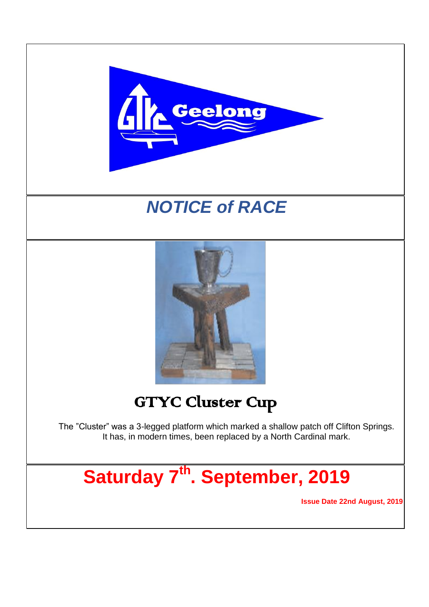

# *NOTICE of RACE*



# GTYC Cluster Cup

The "Cluster" was a 3-legged platform which marked a shallow patch off Clifton Springs. It has, in modern times, been replaced by a North Cardinal mark.

**Saturday 7 th . September, 2019**

**Issue Date 22nd August, 2019**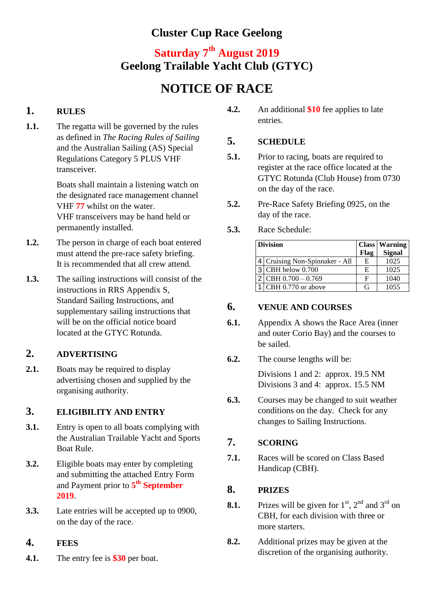### **Cluster Cup Race Geelong**

## **Saturday 7 th August 2019 Geelong Trailable Yacht Club (GTYC)**

## **NOTICE OF RACE**

### **1. RULES**

**1.1.** The regatta will be governed by the rules as defined in *The Racing Rules of Sailing* and the Australian Sailing (AS) Special Regulations Category 5 PLUS VHF transceiver.

> Boats shall maintain a listening watch on the designated race management channel VHF **77** whilst on the water. VHF transceivers may be hand held or permanently installed.

- **1.2.** The person in charge of each boat entered must attend the pre-race safety briefing. It is recommended that all crew attend.
- **1.3.** The sailing instructions will consist of the instructions in RRS Appendix S, Standard Sailing Instructions, and supplementary sailing instructions that will be on the official notice board located at the GTYC Rotunda.

#### **2. ADVERTISING**

2.1. Boats may be required to display advertising chosen and supplied by the organising authority.

#### **3. ELIGIBILITY AND ENTRY**

- **3.1.** Entry is open to all boats complying with the Australian Trailable Yacht and Sports Boat Rule.
- **3.2.** Eligible boats may enter by completing and submitting the attached Entry Form and Payment prior to **5 th September 2019**.
- **3.3.** Late entries will be accepted up to 0900, on the day of the race.

#### **4. FEES**

**4.1.** The entry fee is **\$30** per boat.

**4.2.** An additional **\$10** fee applies to late entries.

#### **5. SCHEDULE**

- **5.1.** Prior to racing, boats are required to register at the race office located at the GTYC Rotunda (Club House) from 0730 on the day of the race.
- **5.2.** Pre-Race Safety Briefing 0925, on the day of the race.
- **5.3.** Race Schedule:

| <b>Division</b>                |      | <b>Class Warning</b> |
|--------------------------------|------|----------------------|
|                                | Flag | <b>Signal</b>        |
| 4 Cruising Non-Spinnaker - All | E    | 1025                 |
| $3$ CBH below 0.700            | E    | 1025                 |
| $2$ CBH 0.700 - 0.769          | F    | 1040                 |
| CBH 0.770 or above             | G    | 1055                 |

#### **6. VENUE AND COURSES**

- **6.1.** Appendix A shows the Race Area (inner and outer Corio Bay) and the courses to be sailed.
- **6.2.** The course lengths will be:

Divisions 1 and 2: approx. 19.5 NM Divisions 3 and 4: approx. 15.5 NM

**6.3.** Courses may be changed to suit weather conditions on the day. Check for any changes to Sailing Instructions.

#### **7. SCORING**

**7.1.** Races will be scored on Class Based Handicap (CBH).

#### **8. PRIZES**

- **8.1.** Prizes will be given for  $1<sup>st</sup>$ ,  $2<sup>nd</sup>$  and  $3<sup>rd</sup>$  on CBH, for each division with three or more starters.
- **8.2.** Additional prizes may be given at the discretion of the organising authority.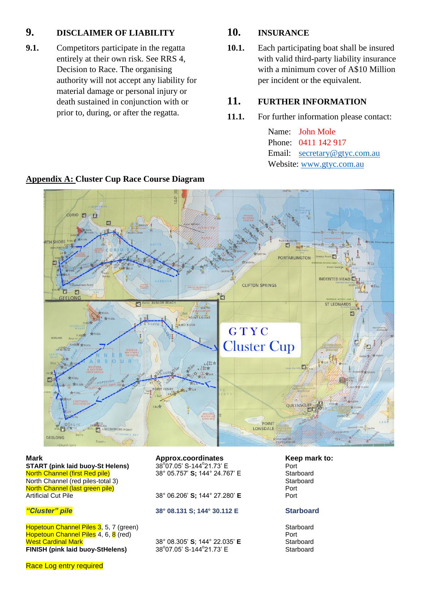#### **9. DISCLAIMER OF LIABILITY**

**9.1.** Competitors participate in the regatta entirely at their own risk. See RRS 4, Decision to Race. The organising authority will not accept any liability for material damage or personal injury or death sustained in conjunction with or prior to, during, or after the regatta.

#### **10. INSURANCE**

**10.1.** Each participating boat shall be insured with valid third-party liability insurance with a minimum cover of A\$10 Million per incident or the equivalent.

#### **11. FURTHER INFORMATION**

**11.1.** For further information please contact:

Name: John Mole Phone: 0411 142 917 Email: [secretary@gtyc.com.au](mailto:secretary@gtyc.com.au) Website: [www.gtyc.com.au](http://www.gtyc.com.au/)



#### **Appendix A: Cluster Cup Race Course Diagram**

**Mark Approx.coordinates Approx.coordinates Keep mark to:**<br>**START** (pink laid buov-St Helens)  $38^{\circ}07.05'$  S-144°21.73' E **Port** Port **START (pink laid buoy-St Helens)** North Channel (first Red pile) 38° 05.757' **S**; 144° 24.767' E Starboard<br>North Channel (red piles-total 3) North Channel (red piles-total 3) Starboard Channel (red piles-total 3) Starboard Channel (red piles) Starboard Channel (red piles) Starboard Channel (red piles) Starboard Channel (red piles) Starboard Channel (red piles) North Channel (last green pile)<br>Artificial Cut Pile Port (28° 06.206' S; 144° 27.280' E

Hopetoun Channel Piles 3, 5, 7 (green) Starboard Starboard Hopetoun Channel Piles 4, 6, 8 (red) Port Port Port Port Port West Cardinal Mark 38° 08.305' **S**; 144° 22.035' **E** Starboard **FINISH (pink laid buoy-StHelens)** 

07.05' S-144°21.73' E Port

38° 06.206' **S**; 144° 27.280' **E** 

#### *"Cluster" pile* **38° 08.131 S; 144° 30.112 E Starboard**

07.05' S-144°21.73' E Starboard

Race Log entry required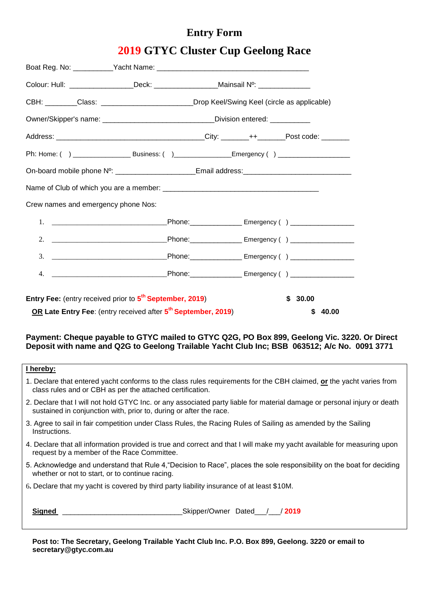## **Entry Form**

**2019 GTYC Cluster Cup Geelong Race**

| Colour: Hull: ___________________Deck: ___________________Mainsail Nº: __________   |                                                                                   |  |  |             |  |  |
|-------------------------------------------------------------------------------------|-----------------------------------------------------------------------------------|--|--|-------------|--|--|
| CBH: _______Class: _____________________Drop Keel/Swing Keel (circle as applicable) |                                                                                   |  |  |             |  |  |
|                                                                                     | Owner/Skipper's name: _______________________________Division entered: _________  |  |  |             |  |  |
|                                                                                     |                                                                                   |  |  |             |  |  |
|                                                                                     |                                                                                   |  |  |             |  |  |
|                                                                                     | On-board mobile phone Nº: ______________________Email address: __________________ |  |  |             |  |  |
|                                                                                     |                                                                                   |  |  |             |  |  |
| Crew names and emergency phone Nos:                                                 |                                                                                   |  |  |             |  |  |
|                                                                                     |                                                                                   |  |  |             |  |  |
| 2.                                                                                  |                                                                                   |  |  |             |  |  |
|                                                                                     |                                                                                   |  |  |             |  |  |
| 4.                                                                                  |                                                                                   |  |  |             |  |  |
|                                                                                     |                                                                                   |  |  |             |  |  |
| <b>Entry Fee:</b> (entry received prior to 5 <sup>th</sup> September, 2019)         | \$30.00                                                                           |  |  |             |  |  |
| OR Late Entry Fee: (entry received after 5 <sup>th</sup> September, 2019)           |                                                                                   |  |  | \$<br>40.00 |  |  |

#### **Payment: Cheque payable to GTYC mailed to GTYC Q2G, PO Box 899, Geelong Vic. 3220. Or Direct Deposit with name and Q2G to Geelong Trailable Yacht Club Inc; BSB 063512; A/c No. 0091 3771**

#### **I hereby:**

- 1. Declare that entered yacht conforms to the class rules requirements for the CBH claimed, **or** the yacht varies from class rules and or CBH as per the attached certification.
- 2. Declare that I will not hold GTYC Inc. or any associated party liable for material damage or personal injury or death sustained in conjunction with, prior to, during or after the race.
- 3. Agree to sail in fair competition under Class Rules, the Racing Rules of Sailing as amended by the Sailing **Instructions**
- 4. Declare that all information provided is true and correct and that I will make my yacht available for measuring upon request by a member of the Race Committee.
- 5. Acknowledge and understand that Rule 4,"Decision to Race", places the sole responsibility on the boat for deciding whether or not to start, or to continue racing.
- 6**.** Declare that my yacht is covered by third party liability insurance of at least \$10M.

Signed **Signed Skipper/Owner Dated** / / 2019

**Post to: The Secretary, Geelong Trailable Yacht Club Inc. P.O. Box 899, Geelong. 3220 or email to secretary@gtyc.com.au**